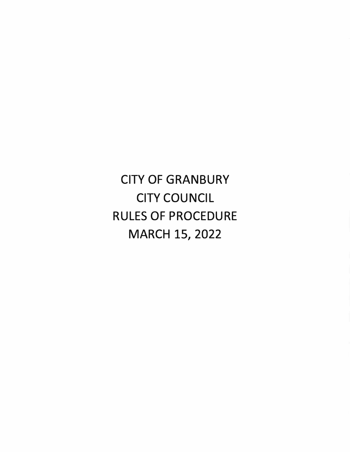CITY OF GRANBURY CITY COUNCIL RULES OF PROCEDURE MARCH 15, 2022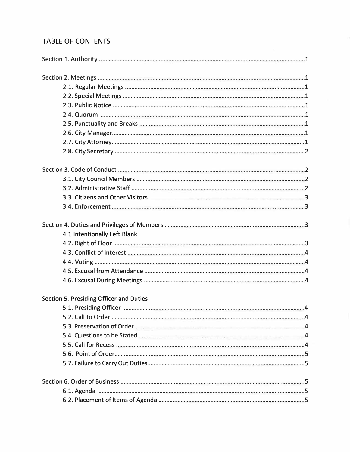# **TABLE OF CONTENTS**

| 4.1 Intentionally Left Blank            |
|-----------------------------------------|
|                                         |
|                                         |
|                                         |
|                                         |
|                                         |
| Section 5. Presiding Officer and Duties |
|                                         |
|                                         |
|                                         |
|                                         |
|                                         |
|                                         |
|                                         |
|                                         |
|                                         |
|                                         |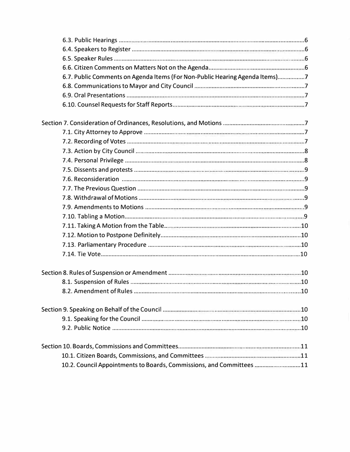| 6.7. Public Comments on Agenda Items (For Non-Public Hearing Agenda Items)7 |  |
|-----------------------------------------------------------------------------|--|
|                                                                             |  |
|                                                                             |  |
|                                                                             |  |
|                                                                             |  |
|                                                                             |  |
|                                                                             |  |
|                                                                             |  |
|                                                                             |  |
|                                                                             |  |
|                                                                             |  |
|                                                                             |  |
|                                                                             |  |
|                                                                             |  |
|                                                                             |  |
|                                                                             |  |
|                                                                             |  |
|                                                                             |  |
|                                                                             |  |
|                                                                             |  |
|                                                                             |  |
|                                                                             |  |
|                                                                             |  |
|                                                                             |  |
|                                                                             |  |
|                                                                             |  |
|                                                                             |  |
| 10.2. Council Appointments to Boards, Commissions, and Committees 11        |  |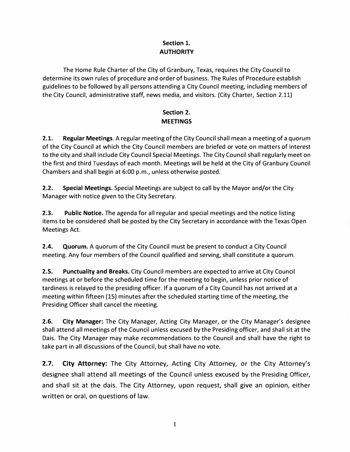## **Section 1. AUTHORITY**

The Home Rule Charter of the City of Granbury, Texas, requires the City Council to determine its own rules of procedure and order of business. The Rules of Procedure establish guidelines to be followed by all persons attending a City Council meeting, including members of the City Council, administrative staff, news media, and visitors. (City Charter, Section 2.11)

## **Section 2. MEETINGS**

**2.1. Regular Meetings.** A regular meeting of the City Council shall mean a meeting of a quorum of the City Council at which the City Council members are briefed or vote on matters of interest to the city and shall include City Council Special Meetings. The City Council shall regularly meet on the first and third Tuesdays of each month. Meetings will be held at the City of Granbury Council Chambers and shall begin at 6:00 p.m., unless otherwise posted.

**2.2. Special Meetings.** Special Meetings are subject to call by the Mayor and/or the City Manager with notice given to the City Secretary.

**2.3. Public Notice.** The agenda for all regular and special meetings and the notice listing items to be considered shall be posted by the City Secretary in accordance with the Texas Open Meetings Act.

**2.4. Quorum.** A quorum of the City Council must be present to conduct a City Council meeting. Any four members of the Council qualified and serving, shall constitute a quorum.

**2.5. Punctuality and Breaks.** City Council members are expected to arrive at City Council meetings at or before the scheduled time for the meeting to begin, unless prior notice of tardiness is relayed to the presiding officer. If a quorum of a City Council has not arrived at a meeting within fifteen (15) minutes after the scheduled starting time of the meeting, the Presiding Officer shall cancel the meeting.

**2.6. City Manager:** The City Manager, Acting City Manager, or the City Manager's designee shall attend all meetings of the Council unless excused by the Presiding officer, and shall sit at the Dais. The City Manager may make recommendations to the Council and shall have the right to take part in all discussions of the Council, but shall have no vote.

**2.7. City Attorney:** The City Attorney, Acting City Attorney, or the City Attorney's designee shall attend all meetings of the Council unless excused by the Presiding Officer, and shall sit at the dais. The City Attorney, upon request, shall give an opinion, either written or oral, on questions of law.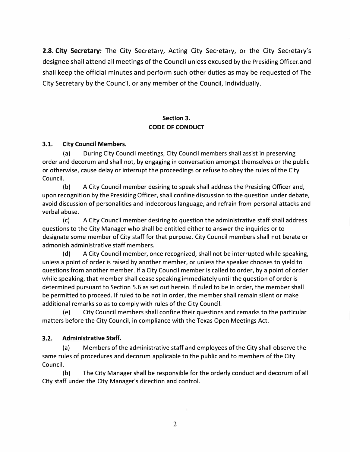**2.8. City Secretary:** The City Secretary, Acting City Secretary, or the City Secretary's designee shall attend all meetings of the Council unless excused by the Presiding Officer.and shall keep the official minutes and perform such other duties as may be requested of The City Secretary by the Council, or any member of the Council, individually.

### **Section 3. CODE OF CONDUCT**

#### **3.1. City Council Members.**

(a) During City Council meetings, City Council members shall assist in preserving order and decorum and shall not, by engaging in conversation amongst themselves or the public or otherwise, cause delay or interrupt the proceedings or refuse to obey the rules of the City Council.

(b) A City Council member desiring to speak shall address the Presiding Officer and, upon recognition by the Presiding Officer, shall confine discussion to the question under debate, avoid discussion of personalities and indecorous language, and refrain from personal attacks and verbal abuse.

(c) A City Council member desiring to question the administrative staff shall address questions to the City Manager who shall be entitled either to answer the inquiries or to designate some member of City staff for that purpose. City Council members shall not berate or admonish administrative staff members.

(d) A City Council member, once recognized, shall not be interrupted while speaking, unless a point of order is raised by another member, or unless the speaker chooses to yield to questions from another member. If a City Council member is called to order, by a point of order while speaking, that member shall cease speaking immediately until the question of order is determined pursuant to Section 5.6 as set out herein. If ruled to be in order, the member shall be permitted to proceed. If ruled to be not in order, the member shall remain silent or make additional remarks so as to comply with rules of the City Council.

(e) City Council members shall confine their questions and remarks to the particular matters before the City Council, in compliance with the Texas Open Meetings Act.

#### **3.2. Administrative Staff.**

(a) Members of the administrative staff and employees of the City shall observe the same rules of procedures and decorum applicable to the public and to members of the City Council.

(b) The City Manager shall be responsible for the orderly conduct and decorum of all City staff under the City Manager's direction and control.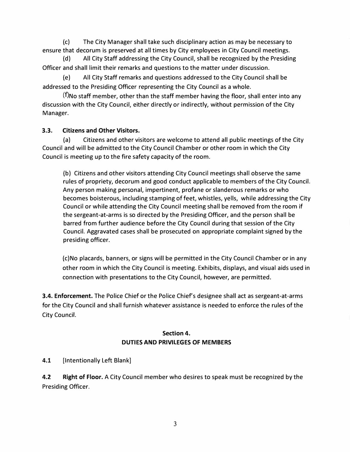(c) The City Manager shall take such disciplinary action as may be necessary to ensure that decorum is preserved at all times by City employees in City Council meetings.

(d) All City Staff addressing the City Council, shall be recognized by the Presiding Officer and shall limit their remarks and questions to the matter under discussion.

(e) All City Staff remarks and questions addressed to the City Council shall be addressed to the Presiding Officer representing the City Council as a whole.

 $(f)$ No staff member, other than the staff member having the floor, shall enter into any discussion with the City Council, either directly or indirectly, without permission of the City Manager.

#### **3.3. Citizens and Other Visitors.**

(a) Citizens and other visitors are welcome to attend all public meetings of the City Council and will be admitted to the City Council Chamber or other room in which the City Council is meeting up to the fire safety capacity of the room.

(b) Citizens and other visitors attending City Council meetings shall observe the same rules of propriety, decorum and good conduct applicable to members of the City Council. Any person making personal, impertinent, profane or slanderous remarks or who becomes boisterous, including stamping of feet, whistles, yells, while addressing the City Council or while attending the City Council meeting shall be removed from the room if the sergeant-at-arms is so directed by the Presiding Officer, and the person shall be barred from further audience before the City Council during that session of the City Council. Aggravated cases shall be prosecuted on appropriate complaint signed by the presiding officer.

(c)No placards, banners, or signs will be permitted in the City Council Chamber or in any other room in which the City Council is meeting. Exhibits, displays, and visual aids used in connection with presentations to the City Council, however, are permitted.

**3.4. Enforcement.** The Police Chief or the Police Chief's designee shall act as sergeant-at-arms for the City Council and shall furnish whatever assistance is needed to enforce the rules of the City Council.

#### **Section 4. DUTIES AND PRIVILEGES OF MEMBERS**

4.1 [Intentionally Left Blank]

**4.2 Right of Floor.** A City Council member who desires to speak must be recognized by the Presiding Officer.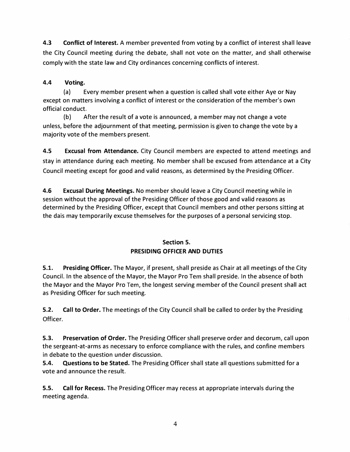**4.3 Conflict of Interest.** A member prevented from voting by a conflict of interest shall leave the City Council meeting during the debate, shall not vote on the matter, and shall otherwise comply with the state law and City ordinances concerning conflicts of interest.

### **4.4 Voting.**

(a) Every member present when a question is called shall vote either Aye or Nay except on matters involving a conflict of interest or the consideration of the member's own official conduct.

(b) After the result of a vote is announced, a member may not change a vote unless, before the adjournment of that meeting, permission is given to change the vote by a majority vote of the members present.

**4.5 Excusal from Attendance.** City Council members are expected to attend meetings and stay in attendance during each meeting. No member shall be excused from attendance at a City Council meeting except for good and valid reasons, as determined by the Presiding Officer.

**4.6 Excusal During Meetings.** No member should leave a City Council meeting while in session without the approval of the Presiding Officer of those good and valid reasons as determined by the Presiding Officer, except that Council members and other persons sitting at the dais may temporarily excuse themselves for the purposes of a personal servicing stop.

#### **Section 5. PRESIDING OFFICER AND DUTIES**

**5.1. Presiding Officer.** The Mayor, if present, shall preside as Chair at all meetings of the City Council. In the absence of the Mayor, the Mayor Pro Tern shall preside. In the absence of both the Mayor and the Mayor Pro Tem, the longest serving member of the Council present shall act as Presiding Officer for such meeting.

**5.2. Call to Order.** The meetings of the City Council shall be called to order by the Presiding Officer.

**5.3. Preservation of Order.** The Presiding Officer shall preserve order and decorum, call upon the sergeant-at-arms as necessary to enforce compliance with the rules, and confine members in debate to the question under discussion.

**5.4. Questions to be Stated.** The Presiding Officer shall state all questions submitted for a vote and announce the result.

**S.S. Call for Recess.** The Presiding Officer may recess at appropriate intervals during the meeting agenda.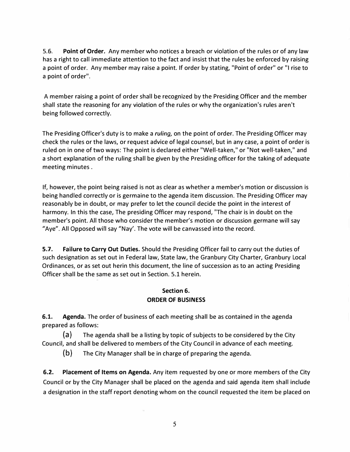5.6. **Point of Order.** Any member who notices a breach or violation of the rules or of any law has a right to call immediate attention to the fact and insist that the rules be enforced by raising a point of order. Any member may raise a point. If order by stating, "Point of order" or "I rise to a point of order".

A member raising a point of order shall be recognized by the Presiding Officer and the member shall state the reasoning for any violation of the rules or why the organization's rules aren't being followed correctly.

The Presiding Officer's duty is to make a *ruling,* on the point of order. The Presiding Officer may check the rules or the laws, or request advice of legal counsel, but in any case, a point of order is ruled on in one of two ways: The point is declared either "Well-taken," or "Not well-taken," and a short explanation of the ruling shall be given by the Presiding officer for the taking of adequate meeting minutes .

If, however, the point being raised is not as dear as whether a member's motion or discussion is being handled correctly or is germaine to the agenda item discussion. The Presiding Officer may reasonably be in doubt, or may prefer to let the council decide the point in the interest of harmony. In this the case, The presiding Officer may respond, "The chair is in doubt on the member's point. All those who consider the member's motion or discussion germane will say "Aye". All Opposed will say "Nay'. The vote will be canvassed into the record.

**5.7. Failure to Carry Out Duties.** Should the Presiding Officer fail to carry out the duties of such designation as set out in Federal law, State law, the Granbury City Charter, Granbury Local Ordinances, or as set out herin this document, the line of succession as to an acting Presiding Officer shall be the same as set out in Section. 5.1 herein.

### **Section 6. ORDER OF BUSINESS**

**6.1. Agenda.** The order of business of each meeting shall be as contained in the agenda prepared as follows:

(a) The agenda shall be a listing by topic of subjects to be considered by the City Council, and shall be delivered to members of the City Council in advance of each meeting.

(b) The City Manager shall be in charge of preparing the agenda.

**6.2. Placement of Items on Agenda.** Any item requested by one or more members of the City Council or by the City Manager shall be placed on the agenda and said agenda item shall include a designation in the staff report denoting whom on the council requested the item be placed on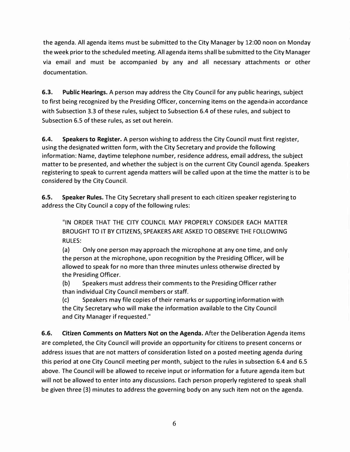the agenda. All agenda items must be submitted to the City Manager by 12:00 noon on Monday the week prior to the scheduled meeting. All agenda items shall be submitted to the City Manager via email and must be accompanied by any and all necessary attachments or other documentation.

**6.3. Public Hearings.** A person may address the City Council for any public hearings, subject to first being recognized by the Presiding Officer, concerning items on the agenda-in accordance with Subsection 3.3 of these rules, subject to Subsection 6.4 of these rules, and subject to Subsection 6.5 of these rules, as set out herein.

**6.4. Speakers to Register.** A person wishing to address the City Council must first register, using the designated written form, with the City Secretary and provide the following information: Name, daytime telephone number, residence address, email address, the subject matter to be presented, and whether the subject is on the current City Council agenda. Speakers registering to speak to current agenda matters will be called upon at the time the matter is to be considered by the City Council.

**6.5. Speaker Rules.** The City Secretary shall present to each citizen speaker registering to address the City Council a copy of the following rules:

"IN ORDER THAT THE CITY COUNCIL MAY PROPERLY CONSIDER EACH MATTER BROUGHT TO IT BY CITIZENS, SPEAKERS ARE ASKED TO OBSERVE THE FOLLOWING RULES:

(a) Only one person may approach the microphone at any one time, and only the person at the microphone, upon recognition by the Presiding Officer, will be allowed to speak for no more than three minutes unless otherwise directed by the Presiding Officer.

(b) Speakers must address their comments to the Presiding Officer rather than individual City Council members or staff.

(c) Speakers may file copies of their remarks or supporting information with the City Secretary who will make the information available to the City Council and City Manager if requested."

**6.6. Citizen Comments on Matters Not on the Agenda.** After the Deliberation Agenda items are completed, the City Council will provide an opportunity for citizens to present concerns or address issues that are not matters of consideration listed on a posted meeting agenda during this period at one City Council meeting per month, subject to the rules in subsection 6.4 and 6.5 above. The Council will be allowed to receive input or information for a future agenda item but will not be allowed to enter into any discussions. Each person properly registered to speak shall be given three (3) minutes to address the governing body on any such item not on the agenda.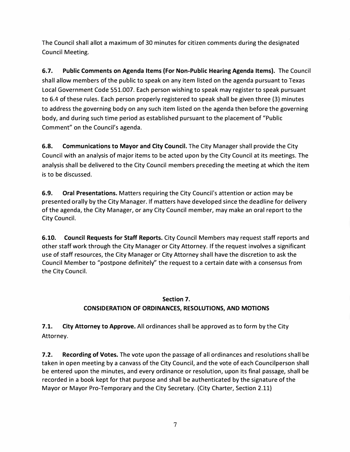The Council shall allot a maximum of 30 minutes for citizen comments during the designated Council Meeting.

**6.7. Public Comments on Agenda Items (For Non-Public Hearing Agenda Items).** The Council shall allow members of the public to speak on any item listed on the agenda pursuant to Texas Local Government Code 551.007. Each person wishing to speak may register to speak pursuant to 6.4 of these rules. Each person properly registered to speak shall be given three (3) minutes to address the governing body on any such item listed on the agenda then before the governing body, and during such time period as established pursuant to the placement of "Public Comment" on the Council's agenda.

**6.8. Communications to Mayor and City Council.** The City Manager shall provide the City Council with an analysis of major items to be acted upon by the City Council at its meetings. The analysis shall be delivered to the City Council members preceding the meeting at which the item is to be discussed.

**6.9. Oral Presentations.** Matters requiring the City Council's attention or action may be presented orally by the City Manager. If matters have developed since the deadline for delivery of the agenda, the City Manager, or any City Council member, may make an oral report to the City Council.

**6.10. Council Requests for Staff Reports.** City Council Members may request staff reports and other staff work through the City Manager or City Attorney. If the request involves a significant use of staff resources, the City Manager or City Attorney shall have the discretion to ask the Council Member to "postpone definitely" the request to a certain date with a consensus from the City Council.

#### **Section 7.**

## **CONSIDERATION OF ORDINANCES, RESOLUTIONS, AND MOTIONS**

**7 .1. City Attorney to Approve.** All ordinances shall be approved as to form by the City Attorney.

**7.2. Recording of Votes.** The vote upon the passage of all ordinances and resolutions shall be taken in open meeting by a canvass of the City Council, and the vote of each Councilperson shall be entered upon the minutes, and every ordinance or resolution, upon its final passage, shall be recorded in a book kept for that purpose and shall be authenticated by the signature of the Mayor or Mayor Pro-Temporary and the City Secretary. (City Charter, Section 2.11)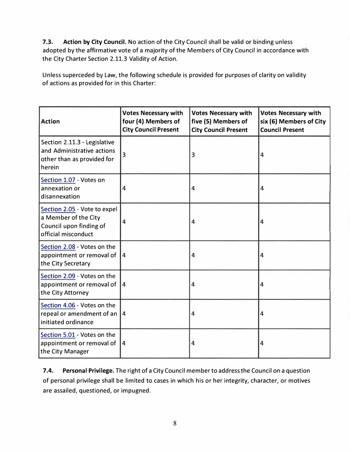**7.3. Action by City Council.** No action of the City Council shall be valid or binding unless adopted by the affirmative vote of a majority of the Members of City Council in accordance with the City Charter Section 2.11.3 Validity of Action.

Unless superceded by Law, the following schedule is provided for purposes of clarity on validity of actions as provided for in this Charter:

| <b>Action</b>                                                                                          | <b>Votes Necessary with</b><br>four (4) Members of<br><b>City Council Present</b> | <b>Votes Necessary with</b><br>five (5) Members of<br><b>City Council Present</b> | <b>Votes Necessary with</b><br>six (6) Members of City<br><b>Council Present</b> |
|--------------------------------------------------------------------------------------------------------|-----------------------------------------------------------------------------------|-----------------------------------------------------------------------------------|----------------------------------------------------------------------------------|
| Section 2.11.3 - Legislative<br>and Administrative actions<br>other than as provided for<br>herein     | 3                                                                                 | 3                                                                                 | 4                                                                                |
| Section 1.07 - Votes on<br>annexation or<br>disannexation                                              | 4                                                                                 | $\overline{4}$                                                                    | 4                                                                                |
| Section 2.05 - Vote to expel<br>a Member of the City<br>Council upon finding of<br>official misconduct | 4                                                                                 | $\overline{4}$                                                                    | 4                                                                                |
| Section 2.08 - Votes on the<br>appointment or removal of<br>the City Secretary                         | 14                                                                                | $\overline{4}$                                                                    | 4                                                                                |
| Section 2.09 - Votes on the<br>appointment or removal of<br>the City Attorney                          | 4                                                                                 | $\overline{4}$                                                                    | 4                                                                                |
| Section 4.06 - Votes on the<br>repeal or amendment of an $ 4$<br>initiated ordinance                   |                                                                                   | 4                                                                                 | 4                                                                                |
| Section 5.01 - Votes on the<br>appointment or removal of<br>the City Manager                           | $\vert 4 \vert$                                                                   | 4                                                                                 | 4                                                                                |

**7.4. Personal Privilege.** The right of a City Council member to address the Council on a question of personal privilege shall be limited to cases in which his or her integrity, character, or motives are assailed, questioned, or impugned.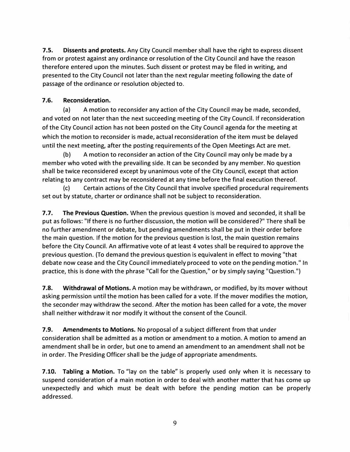**7.5. Dissents and protests.** Any City Council member shall have the right to express dissent from or protest against any ordinance or resolution of the City Council and have the reason therefore entered upon the minutes. Such dissent or protest may be filed in writing, and presented to the City Council not later than the next regular meeting following the date of passage of the ordinance or resolution objected to.

#### **7 .6. Reconsideration.**

(a) A motion to reconsider any action of the City Council may be made, seconded, and voted on not later than the next succeeding meeting of the City Council. If reconsideration of the City Council action has not been posted on the City Council agenda for the meeting at which the motion to reconsider is made, actual reconsideration of the item must be delayed until the next meeting, after the posting requirements of the Open Meetings Act are met.

(b) A motion to reconsider an action of the City Council may only be made by a member who voted with the prevailing side. It can be seconded by any member. No question shall be twice reconsidered except by unanimous vote of the City Council, except that action relating to any contract may be reconsidered at any time before the final execution thereof.

(c) Certain actions of the City Council that involve specified procedural requirements set out by statute, charter or ordinance shall not be subject to reconsideration.

**7.7. The Previous Question.** When the previous question is moved and seconded, it shall be put as follows: "If there is no further discussion, the motion will be considered?" There shall be no further amendment or debate, but pending amendments shall be put in their order before the main question. If the motion for the previous question is lost, the main question remains before the City Council. An affirmative vote of at least 4 votes shall be required to approve the previous question. (To demand the previous question is equivalent in effect to moving "that debate now cease and the City Council immediately proceed to vote on the pending motion." In practice, this is done with the phrase "Call for the Question," or by simply saying "Question.")

**7.8. Withdrawal of Motions.** A motion may be withdrawn, or modified, by its mover without asking permission until the motion has been called for a vote. If the mover modifies the motion, the seconder may withdraw the second. After the motion has been called for a vote, the mover shall neither withdraw it nor modify it without the consent of the Council.

**7.9. Amendments to Motions.** No proposal of a subject different from that under consideration shall be admitted as a motion or amendment to a motion. A motion to amend an amendment shall be in order, but one to amend an amendment to an amendment shall not be in order. The Presiding Officer shall be the judge of appropriate amendments.

**7.10. Tabling a Motion.** To "lay on the table" is properly used only when it is necessary to suspend consideration of a main motion in order to deal with another matter that has come up unexpectedly and which must be dealt with before the pending motion can be properly addressed.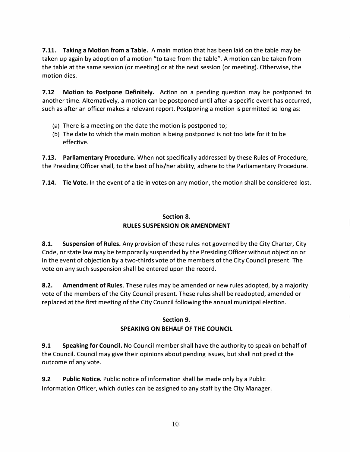**7.11. Taking a Motion from a Table.** A main motion that has been laid on the table may be taken up again by adoption of a motion "to take from the table". A motion can be taken from the table at the same session (or meeting) or at the next session (or meeting). Otherwise, the motion dies.

**7.12 Motion to Postpone Definitely.** Action on a pending question may be postponed to another time. Alternatively, a motion can be postponed until after a specific event has occurred, such as after an officer makes a relevant report. Postponing a motion is permitted so long as:

- (a) There is a meeting on the date the motion is postponed to;
- (b) The date to which the main motion is being postponed is not too late for it to be effective.

**7.13. Parliamentary Procedure.** When not specifically addressed by these Rules of Procedure, the Presiding Officer shall, to the best of his/her ability, adhere to the Parliamentary Procedure.

**7.14. Tie Vote.** In the event of a tie in votes on any motion, the motion shall be considered lost.

## **Section 8. RULES SUSPENSION OR AMENDMENT**

**8.1. Suspension of Rules.** Any provision of these rules not governed by the City Charter, City Code, or state law may be temporarily suspended by the Presiding Officer without objection or in the event of objection by a two-thirds vote of the members of the City Council present. The vote on any such suspension shall be entered upon the record.

**8.2. Amendment of Rules.** These rules may be amended or new rules adopted, by a majority vote of the members of the City Council present. These rules shall be readopted, amended or replaced at the first meeting of the City Council following the annual municipal election.

### **Section 9. SPEAKING ON BEHALF OF THE COUNCIL**

**9.1 Speaking for Council.** No Council member shall have the authority to speak on behalf of the Council. Council may give their opinions about pending issues, but shall not predict the outcome of any vote.

**9.2** Public Notice. Public notice of information shall be made only by a Public Information Officer, which duties can be assigned to any staff by the City Manager.